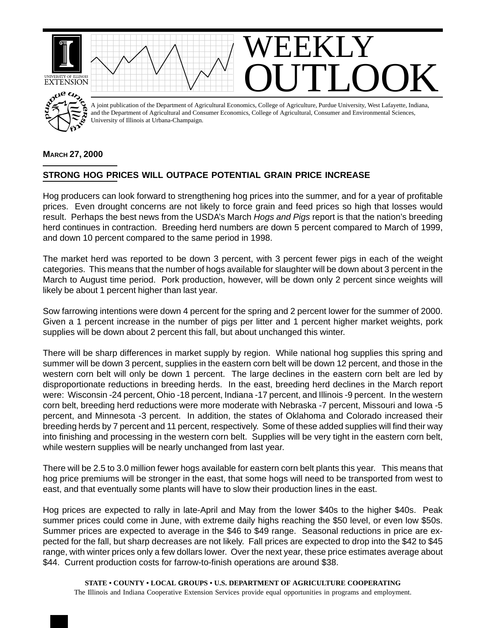

## **MARCH 27, 2000**

## **STRONG HOG PRICES WILL OUTPACE POTENTIAL GRAIN PRICE INCREASE**

Hog producers can look forward to strengthening hog prices into the summer, and for a year of profitable prices. Even drought concerns are not likely to force grain and feed prices so high that losses would result. Perhaps the best news from the USDA's March *Hogs and Pigs* report is that the nation's breeding herd continues in contraction. Breeding herd numbers are down 5 percent compared to March of 1999, and down 10 percent compared to the same period in 1998.

The market herd was reported to be down 3 percent, with 3 percent fewer pigs in each of the weight categories. This means that the number of hogs available for slaughter will be down about 3 percent in the March to August time period. Pork production, however, will be down only 2 percent since weights will likely be about 1 percent higher than last year.

Sow farrowing intentions were down 4 percent for the spring and 2 percent lower for the summer of 2000. Given a 1 percent increase in the number of pigs per litter and 1 percent higher market weights, pork supplies will be down about 2 percent this fall, but about unchanged this winter.

There will be sharp differences in market supply by region. While national hog supplies this spring and summer will be down 3 percent, supplies in the eastern corn belt will be down 12 percent, and those in the western corn belt will only be down 1 percent. The large declines in the eastern corn belt are led by disproportionate reductions in breeding herds. In the east, breeding herd declines in the March report were: Wisconsin -24 percent, Ohio -18 percent, Indiana -17 percent, and Illinois -9 percent. In the western corn belt, breeding herd reductions were more moderate with Nebraska -7 percent, Missouri and Iowa -5 percent, and Minnesota -3 percent. In addition, the states of Oklahoma and Colorado increased their breeding herds by 7 percent and 11 percent, respectively. Some of these added supplies will find their way into finishing and processing in the western corn belt. Supplies will be very tight in the eastern corn belt, while western supplies will be nearly unchanged from last year.

There will be 2.5 to 3.0 million fewer hogs available for eastern corn belt plants this year. This means that hog price premiums will be stronger in the east, that some hogs will need to be transported from west to east, and that eventually some plants will have to slow their production lines in the east.

Hog prices are expected to rally in late-April and May from the lower \$40s to the higher \$40s. Peak summer prices could come in June, with extreme daily highs reaching the \$50 level, or even low \$50s. Summer prices are expected to average in the \$46 to \$49 range. Seasonal reductions in price are expected for the fall, but sharp decreases are not likely. Fall prices are expected to drop into the \$42 to \$45 range, with winter prices only a few dollars lower. Over the next year, these price estimates average about \$44. Current production costs for farrow-to-finish operations are around \$38.